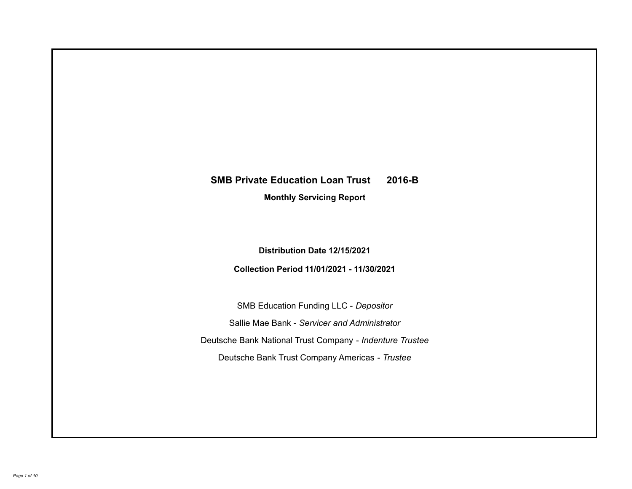# **SMB Private Education Loan Trust 2016-B**

**Monthly Servicing Report**

**Distribution Date 12/15/2021**

**Collection Period 11/01/2021 - 11/30/2021**

SMB Education Funding LLC - *Depositor* Sallie Mae Bank - *Servicer and Administrator* Deutsche Bank National Trust Company - *Indenture Trustee* Deutsche Bank Trust Company Americas - *Trustee*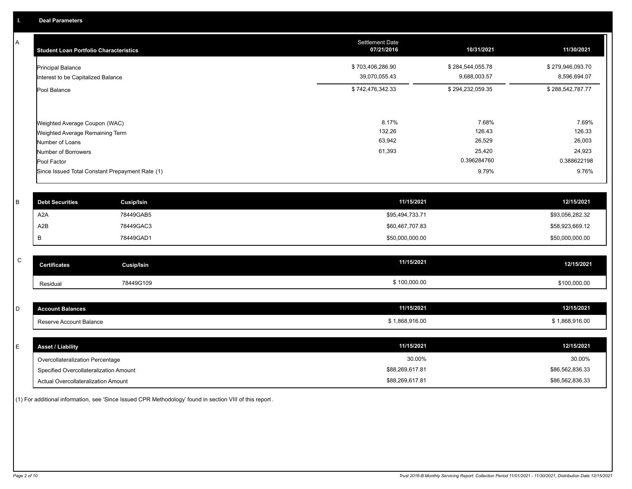A

| <b>Student Loan Portfolio Characteristics</b>                                                              | <b>Settlement Date</b><br>07/21/2016 | 10/31/2021                          | 11/30/2021                          |
|------------------------------------------------------------------------------------------------------------|--------------------------------------|-------------------------------------|-------------------------------------|
| <b>Principal Balance</b><br>Interest to be Capitalized Balance                                             | \$703,406,286.90<br>39,070,055.43    | \$284,544,055.78<br>9,688,003.57    | \$279,946,093.70<br>8,596,694.07    |
| Pool Balance                                                                                               | \$742,476,342.33                     | \$294,232,059.35                    | \$288,542,787.77                    |
| Weighted Average Coupon (WAC)<br>Weighted Average Remaining Term<br>Number of Loans<br>Number of Borrowers | 8.17%<br>132.26<br>63,942<br>61,393  | 7.68%<br>126.43<br>26,529<br>25,420 | 7.69%<br>126.33<br>26,003<br>24,923 |
| Pool Factor                                                                                                |                                      | 0.396284760                         | 0.388622198                         |
| Since Issued Total Constant Prepayment Rate (1)                                                            |                                      | 9.79%                               | 9.76%                               |

| <b>Debt Securities</b> | Cusip/Isin | 11/15/2021      | 12/15/2021      |
|------------------------|------------|-----------------|-----------------|
| A <sub>2</sub> A       | 78449GAB5  | \$95,494,733.71 | \$93,056,282.32 |
| A2B                    | 78449GAC3  | \$60,467,707.83 | \$58,923,669.12 |
|                        | 78449GAD1  | \$50,000,000.00 | \$50,000,000.00 |

| $\sim$<br>◡ | <b>Certificates</b> | Cusip/Isin | 11/15/2021   | 12/15/2021   |
|-------------|---------------------|------------|--------------|--------------|
|             | Residual            | 78449G109  | \$100,000.00 | \$100,000.00 |

| $\sim$<br>ັ | unt Balances<br>лсо     | 11/15/2021                         | 12/15/2021                               |
|-------------|-------------------------|------------------------------------|------------------------------------------|
|             | Reserve Account Balance | 1.000 <sub>1</sub><br>.,868,916.00 | 1,868,916.00<br>$\overline{\phantom{a}}$ |

| <b>Asset / Liability</b>               | 11/15/2021      | 12/15/2021      |
|----------------------------------------|-----------------|-----------------|
| Overcollateralization Percentage       | 30.00%          | 30.00%          |
| Specified Overcollateralization Amount | \$88,269,617.81 | \$86,562,836.33 |
| Actual Overcollateralization Amount    | \$88,269,617.81 | \$86,562,836.33 |

(1) For additional information, see 'Since Issued CPR Methodology' found in section VIII of this report .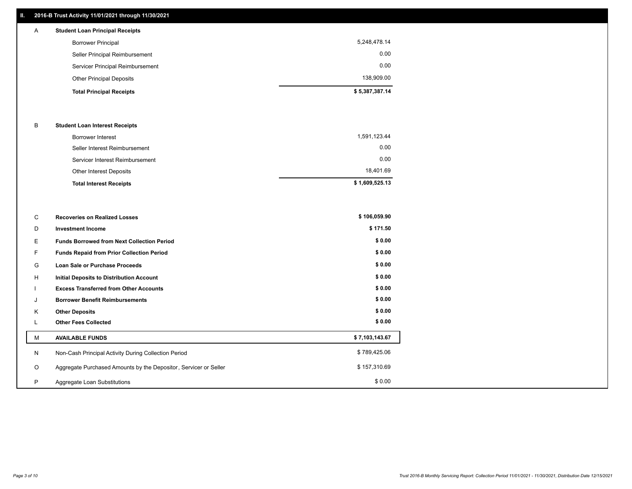# **II. 2016-B Trust Activity 11/01/2021 through 11/30/2021**

# **Total Principal Receipts \$ 5,387,387.14**  Other Principal Deposits 138,909.00 Servicer Principal Reimbursement 0.00 Seller Principal Reimbursement 0.00 Borrower Principal 5,248,478.14 A **Student Loan Principal Receipts**

### B **Student Loan Interest Receipts**

| <b>Total Interest Receipts</b>  | \$1,609,525.13 |
|---------------------------------|----------------|
| Other Interest Deposits         | 18,401.69      |
| Servicer Interest Reimbursement | 0.00           |
| Seller Interest Reimbursement   | 0.00           |
| <b>Borrower Interest</b>        | 1,591,123.44   |

| С       | <b>Recoveries on Realized Losses</b>                             | \$106,059.90   |
|---------|------------------------------------------------------------------|----------------|
| D       | <b>Investment Income</b>                                         | \$171.50       |
| Е.      | <b>Funds Borrowed from Next Collection Period</b>                | \$0.00         |
| F.      | <b>Funds Repaid from Prior Collection Period</b>                 | \$0.00         |
| G       | Loan Sale or Purchase Proceeds                                   | \$0.00         |
| H       | <b>Initial Deposits to Distribution Account</b>                  | \$0.00         |
|         | <b>Excess Transferred from Other Accounts</b>                    | \$0.00         |
| J       | <b>Borrower Benefit Reimbursements</b>                           | \$0.00         |
| K       | <b>Other Deposits</b>                                            | \$0.00         |
|         | <b>Other Fees Collected</b>                                      | \$0.00         |
| М       | <b>AVAILABLE FUNDS</b>                                           | \$7,103,143.67 |
| N       | Non-Cash Principal Activity During Collection Period             | \$789,425.06   |
| $\circ$ | Aggregate Purchased Amounts by the Depositor, Servicer or Seller | \$157,310.69   |
| P       | Aggregate Loan Substitutions                                     | \$0.00         |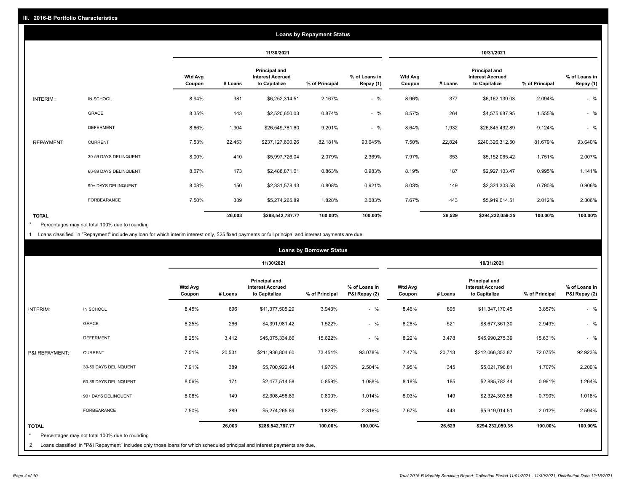| <b>Loans by Repayment Status</b> |                       |                          |            |                                                                  |                |                            |                          |         |                                                           |                |                            |
|----------------------------------|-----------------------|--------------------------|------------|------------------------------------------------------------------|----------------|----------------------------|--------------------------|---------|-----------------------------------------------------------|----------------|----------------------------|
|                                  |                       |                          | 11/30/2021 |                                                                  |                | 10/31/2021                 |                          |         |                                                           |                |                            |
|                                  |                       | <b>Wtd Avg</b><br>Coupon | # Loans    | <b>Principal and</b><br><b>Interest Accrued</b><br>to Capitalize | % of Principal | % of Loans in<br>Repay (1) | <b>Wtd Avg</b><br>Coupon | # Loans | Principal and<br><b>Interest Accrued</b><br>to Capitalize | % of Principal | % of Loans in<br>Repay (1) |
| INTERIM:                         | IN SCHOOL             | 8.94%                    | 381        | \$6,252,314.51                                                   | 2.167%         | $-$ %                      | 8.96%                    | 377     | \$6,162,139.03                                            | 2.094%         | $-$ %                      |
|                                  | <b>GRACE</b>          | 8.35%                    | 143        | \$2,520,650.03                                                   | 0.874%         | $-$ %                      | 8.57%                    | 264     | \$4,575,687.95                                            | 1.555%         | $-$ %                      |
|                                  | <b>DEFERMENT</b>      | 8.66%                    | 1,904      | \$26,549,781.60                                                  | 9.201%         | $-$ %                      | 8.64%                    | 1,932   | \$26,845,432.89                                           | 9.124%         | $-$ %                      |
| <b>REPAYMENT:</b>                | <b>CURRENT</b>        | 7.53%                    | 22,453     | \$237,127,600.26                                                 | 82.181%        | 93.645%                    | 7.50%                    | 22,824  | \$240,326,312.50                                          | 81.679%        | 93.640%                    |
|                                  | 30-59 DAYS DELINQUENT | 8.00%                    | 410        | \$5,997,726.04                                                   | 2.079%         | 2.369%                     | 7.97%                    | 353     | \$5,152,065.42                                            | 1.751%         | 2.007%                     |
|                                  | 60-89 DAYS DELINQUENT | 8.07%                    | 173        | \$2,488,871.01                                                   | 0.863%         | 0.983%                     | 8.19%                    | 187     | \$2,927,103.47                                            | 0.995%         | 1.141%                     |
|                                  | 90+ DAYS DELINQUENT   | 8.08%                    | 150        | \$2,331,578.43                                                   | 0.808%         | 0.921%                     | 8.03%                    | 149     | \$2,324,303.58                                            | 0.790%         | 0.906%                     |
|                                  | <b>FORBEARANCE</b>    | 7.50%                    | 389        | \$5,274,265.89                                                   | 1.828%         | 2.083%                     | 7.67%                    | 443     | \$5,919,014.51                                            | 2.012%         | 2.306%                     |
| <b>TOTAL</b>                     |                       |                          | 26,003     | \$288,542,787.77                                                 | 100.00%        | 100.00%                    |                          | 26,529  | \$294,232,059.35                                          | 100.00%        | 100.00%                    |

Percentages may not total 100% due to rounding \*

1 Loans classified in "Repayment" include any loan for which interim interest only, \$25 fixed payments or full principal and interest payments are due.

|                              |                                                                                                                                                                              |                          | <b>Loans by Borrower Status</b> |                                                           |                |                                |                          |         |                                                                  |                |                                |
|------------------------------|------------------------------------------------------------------------------------------------------------------------------------------------------------------------------|--------------------------|---------------------------------|-----------------------------------------------------------|----------------|--------------------------------|--------------------------|---------|------------------------------------------------------------------|----------------|--------------------------------|
|                              |                                                                                                                                                                              |                          |                                 | 11/30/2021                                                |                |                                | 10/31/2021               |         |                                                                  |                |                                |
|                              |                                                                                                                                                                              | <b>Wtd Avg</b><br>Coupon | # Loans                         | Principal and<br><b>Interest Accrued</b><br>to Capitalize | % of Principal | % of Loans in<br>P&I Repay (2) | <b>Wtd Avg</b><br>Coupon | # Loans | <b>Principal and</b><br><b>Interest Accrued</b><br>to Capitalize | % of Principal | % of Loans in<br>P&I Repay (2) |
| INTERIM:                     | IN SCHOOL                                                                                                                                                                    | 8.45%                    | 696                             | \$11,377,505.29                                           | 3.943%         | $-$ %                          | 8.46%                    | 695     | \$11,347,170.45                                                  | 3.857%         | $-$ %                          |
|                              | GRACE                                                                                                                                                                        | 8.25%                    | 266                             | \$4,391,981.42                                            | 1.522%         | $-$ %                          | 8.28%                    | 521     | \$8,677,361.30                                                   | 2.949%         | $-$ %                          |
|                              | <b>DEFERMENT</b>                                                                                                                                                             | 8.25%                    | 3,412                           | \$45,075,334.66                                           | 15.622%        | $-$ %                          | 8.22%                    | 3,478   | \$45,990,275.39                                                  | 15.631%        | $-$ %                          |
| P&I REPAYMENT:               | <b>CURRENT</b>                                                                                                                                                               | 7.51%                    | 20,531                          | \$211,936,804.60                                          | 73.451%        | 93.078%                        | 7.47%                    | 20,713  | \$212,066,353.87                                                 | 72.075%        | 92.923%                        |
|                              | 30-59 DAYS DELINQUENT                                                                                                                                                        | 7.91%                    | 389                             | \$5,700,922.44                                            | 1.976%         | 2.504%                         | 7.95%                    | 345     | \$5,021,796.81                                                   | 1.707%         | 2.200%                         |
|                              | 60-89 DAYS DELINQUENT                                                                                                                                                        | 8.06%                    | 171                             | \$2,477,514.58                                            | 0.859%         | 1.088%                         | 8.18%                    | 185     | \$2,885,783.44                                                   | 0.981%         | 1.264%                         |
|                              | 90+ DAYS DELINQUENT                                                                                                                                                          | 8.08%                    | 149                             | \$2,308,458.89                                            | 0.800%         | 1.014%                         | 8.03%                    | 149     | \$2,324,303.58                                                   | 0.790%         | 1.018%                         |
|                              | FORBEARANCE                                                                                                                                                                  | 7.50%                    | 389                             | \$5,274,265.89                                            | 1.828%         | 2.316%                         | 7.67%                    | 443     | \$5,919,014.51                                                   | 2.012%         | 2.594%                         |
| <b>TOTAL</b><br>$\star$<br>2 | Percentages may not total 100% due to rounding<br>Loans classified in "P&I Repayment" includes only those loans for which scheduled principal and interest payments are due. |                          | 26,003                          | \$288,542,787.77                                          | 100.00%        | 100.00%                        |                          | 26,529  | \$294,232,059.35                                                 | 100.00%        | 100.00%                        |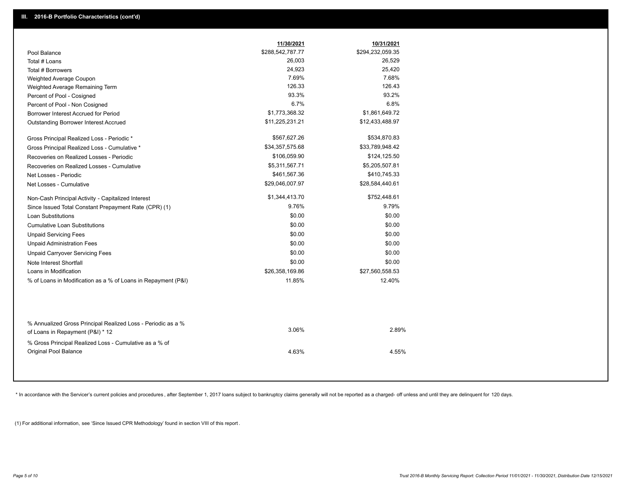|                                                                                        | 11/30/2021       | 10/31/2021       |
|----------------------------------------------------------------------------------------|------------------|------------------|
| Pool Balance                                                                           | \$288,542,787.77 | \$294,232,059.35 |
| Total # Loans                                                                          | 26,003           | 26,529           |
| Total # Borrowers                                                                      | 24,923           | 25,420           |
| Weighted Average Coupon                                                                | 7.69%            | 7.68%            |
| Weighted Average Remaining Term                                                        | 126.33           | 126.43           |
| Percent of Pool - Cosigned                                                             | 93.3%            | 93.2%            |
| Percent of Pool - Non Cosigned                                                         | 6.7%             | 6.8%             |
| Borrower Interest Accrued for Period                                                   | \$1,773,368.32   | \$1,861,649.72   |
| Outstanding Borrower Interest Accrued                                                  | \$11,225,231.21  | \$12,433,488.97  |
| Gross Principal Realized Loss - Periodic *                                             | \$567,627.26     | \$534,870.83     |
| Gross Principal Realized Loss - Cumulative *                                           | \$34,357,575.68  | \$33,789,948.42  |
| Recoveries on Realized Losses - Periodic                                               | \$106,059.90     | \$124,125.50     |
| Recoveries on Realized Losses - Cumulative                                             | \$5,311,567.71   | \$5,205,507.81   |
| Net Losses - Periodic                                                                  | \$461,567.36     | \$410,745.33     |
| Net Losses - Cumulative                                                                | \$29,046,007.97  | \$28,584,440.61  |
| Non-Cash Principal Activity - Capitalized Interest                                     | \$1,344,413.70   | \$752,448.61     |
| Since Issued Total Constant Prepayment Rate (CPR) (1)                                  | 9.76%            | 9.79%            |
| Loan Substitutions                                                                     | \$0.00           | \$0.00           |
| <b>Cumulative Loan Substitutions</b>                                                   | \$0.00           | \$0.00           |
| <b>Unpaid Servicing Fees</b>                                                           | \$0.00           | \$0.00           |
| <b>Unpaid Administration Fees</b>                                                      | \$0.00           | \$0.00           |
| <b>Unpaid Carryover Servicing Fees</b>                                                 | \$0.00           | \$0.00           |
| Note Interest Shortfall                                                                | \$0.00           | \$0.00           |
| Loans in Modification                                                                  | \$26,358,169.86  | \$27,560,558.53  |
| % of Loans in Modification as a % of Loans in Repayment (P&I)                          | 11.85%           | 12.40%           |
| % Annualized Gross Principal Realized Loss - Periodic as a %                           |                  |                  |
| of Loans in Repayment (P&I) * 12                                                       | 3.06%            | 2.89%            |
| % Gross Principal Realized Loss - Cumulative as a % of<br><b>Original Pool Balance</b> | 4.63%            | 4.55%            |

\* In accordance with the Servicer's current policies and procedures, after September 1, 2017 loans subject to bankruptcy claims generally will not be reported as a charged- off unless and until they are delinquent for 120

(1) For additional information, see 'Since Issued CPR Methodology' found in section VIII of this report .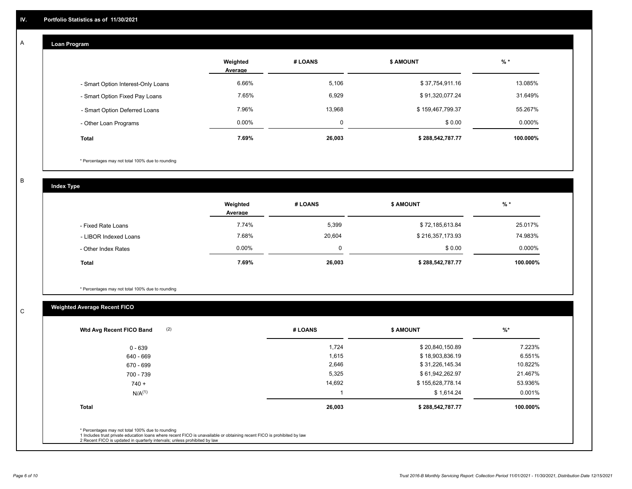#### **Loan Program**  A

|                                    | Weighted<br>Average | # LOANS | <b>S AMOUNT</b>  | $%$ *     |
|------------------------------------|---------------------|---------|------------------|-----------|
| - Smart Option Interest-Only Loans | 6.66%               | 5,106   | \$37,754,911.16  | 13.085%   |
| - Smart Option Fixed Pay Loans     | 7.65%               | 6,929   | \$91,320,077.24  | 31.649%   |
| - Smart Option Deferred Loans      | 7.96%               | 13.968  | \$159,467,799.37 | 55.267%   |
| - Other Loan Programs              | $0.00\%$            | 0       | \$0.00           | $0.000\%$ |
| <b>Total</b>                       | 7.69%               | 26,003  | \$288,542,787.77 | 100.000%  |

\* Percentages may not total 100% due to rounding

B

C

**Index Type**

|                       | Weighted<br>Average | # LOANS | <b>\$ AMOUNT</b> | % *       |
|-----------------------|---------------------|---------|------------------|-----------|
| - Fixed Rate Loans    | 7.74%               | 5,399   | \$72,185,613.84  | 25.017%   |
| - LIBOR Indexed Loans | 7.68%               | 20,604  | \$216,357,173.93 | 74.983%   |
| - Other Index Rates   | $0.00\%$            | 0       | \$0.00           | $0.000\%$ |
| <b>Total</b>          | 7.69%               | 26,003  | \$288,542,787.77 | 100.000%  |

\* Percentages may not total 100% due to rounding

# **Weighted Average Recent FICO**

| (2)<br>Wtd Avg Recent FICO Band                                                                                                                                                                                                                          | # LOANS | <b>\$ AMOUNT</b> | $%$ *    |
|----------------------------------------------------------------------------------------------------------------------------------------------------------------------------------------------------------------------------------------------------------|---------|------------------|----------|
| $0 - 639$                                                                                                                                                                                                                                                | 1,724   | \$20,840,150.89  | 7.223%   |
| 640 - 669                                                                                                                                                                                                                                                | 1,615   | \$18,903,836.19  | 6.551%   |
| 670 - 699                                                                                                                                                                                                                                                | 2,646   | \$31,226,145.34  | 10.822%  |
| 700 - 739                                                                                                                                                                                                                                                | 5,325   | \$61,942,262.97  | 21.467%  |
| $740 +$                                                                                                                                                                                                                                                  | 14,692  | \$155,628,778.14 | 53.936%  |
| $N/A^{(1)}$                                                                                                                                                                                                                                              |         | \$1,614.24       | 0.001%   |
| <b>Total</b>                                                                                                                                                                                                                                             | 26,003  | \$288,542,787.77 | 100.000% |
|                                                                                                                                                                                                                                                          |         |                  |          |
| * Percentages may not total 100% due to rounding<br>1 Includes trust private education loans where recent FICO is unavailable or obtaining recent FICO is prohibited by law<br>2 Recent FICO is updated in quarterly intervals; unless prohibited by law |         |                  |          |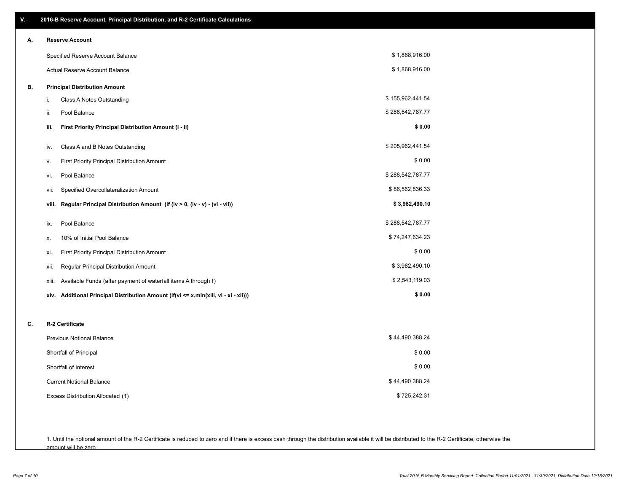| V.                           | 2016-B Reserve Account, Principal Distribution, and R-2 Certificate Calculations     |                  |  |  |  |  |
|------------------------------|--------------------------------------------------------------------------------------|------------------|--|--|--|--|
| <b>Reserve Account</b><br>А. |                                                                                      |                  |  |  |  |  |
|                              | Specified Reserve Account Balance                                                    | \$1,868,916.00   |  |  |  |  |
|                              | Actual Reserve Account Balance                                                       | \$1,868,916.00   |  |  |  |  |
| В.                           | <b>Principal Distribution Amount</b>                                                 |                  |  |  |  |  |
|                              | Class A Notes Outstanding<br>i.                                                      | \$155,962,441.54 |  |  |  |  |
|                              | Pool Balance<br>ii.                                                                  | \$288,542,787.77 |  |  |  |  |
|                              | First Priority Principal Distribution Amount (i - ii)<br>iii.                        | \$0.00           |  |  |  |  |
|                              | Class A and B Notes Outstanding<br>iv.                                               | \$205,962,441.54 |  |  |  |  |
|                              | First Priority Principal Distribution Amount<br>٧.                                   | \$0.00           |  |  |  |  |
|                              | Pool Balance<br>vi.                                                                  | \$288,542,787.77 |  |  |  |  |
|                              | Specified Overcollateralization Amount<br>vii.                                       | \$86,562,836.33  |  |  |  |  |
|                              | Regular Principal Distribution Amount (if (iv > 0, (iv - v) - (vi - vii))<br>viii.   | \$3,982,490.10   |  |  |  |  |
|                              | Pool Balance<br>ix.                                                                  | \$288,542,787.77 |  |  |  |  |
|                              | 10% of Initial Pool Balance<br>х.                                                    | \$74,247,634.23  |  |  |  |  |
|                              | First Priority Principal Distribution Amount<br>xi.                                  | \$0.00           |  |  |  |  |
|                              | Regular Principal Distribution Amount<br>xii.                                        | \$3,982,490.10   |  |  |  |  |
|                              | Available Funds (after payment of waterfall items A through I)<br>xiii.              | \$2,543,119.03   |  |  |  |  |
|                              | xiv. Additional Principal Distribution Amount (if(vi <= x,min(xiii, vi - xi - xii))) | \$0.00           |  |  |  |  |
| C.                           | R-2 Certificate                                                                      |                  |  |  |  |  |
|                              | <b>Previous Notional Balance</b>                                                     | \$44,490,388.24  |  |  |  |  |
|                              | Shortfall of Principal                                                               | \$0.00           |  |  |  |  |
|                              | Shortfall of Interest                                                                | \$0.00           |  |  |  |  |
|                              | <b>Current Notional Balance</b>                                                      | \$44,490,388.24  |  |  |  |  |
|                              | Excess Distribution Allocated (1)                                                    | \$725,242.31     |  |  |  |  |
|                              |                                                                                      |                  |  |  |  |  |
|                              |                                                                                      |                  |  |  |  |  |

1. Until the notional amount of the R-2 Certificate is reduced to zero and if there is excess cash through the distribution available it will be distributed to the R-2 Certificate, otherwise the amount will be zero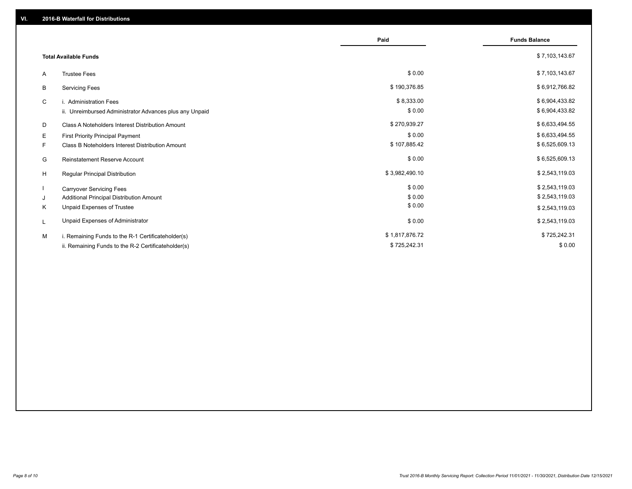|                              |                                                         | Paid           | <b>Funds Balance</b> |
|------------------------------|---------------------------------------------------------|----------------|----------------------|
| <b>Total Available Funds</b> |                                                         |                | \$7,103,143.67       |
| A                            | <b>Trustee Fees</b>                                     | \$0.00         | \$7,103,143.67       |
| В                            | <b>Servicing Fees</b>                                   | \$190,376.85   | \$6,912,766.82       |
| C                            | i. Administration Fees                                  | \$8,333.00     | \$6,904,433.82       |
|                              | ii. Unreimbursed Administrator Advances plus any Unpaid | \$0.00         | \$6,904,433.82       |
| D                            | Class A Noteholders Interest Distribution Amount        | \$270,939.27   | \$6,633,494.55       |
| Е                            | First Priority Principal Payment                        | \$0.00         | \$6,633,494.55       |
| F.                           | Class B Noteholders Interest Distribution Amount        | \$107,885.42   | \$6,525,609.13       |
| G                            | <b>Reinstatement Reserve Account</b>                    | \$0.00         | \$6,525,609.13       |
| H                            | Regular Principal Distribution                          | \$3,982,490.10 | \$2,543,119.03       |
|                              | <b>Carryover Servicing Fees</b>                         | \$0.00         | \$2,543,119.03       |
| J                            | Additional Principal Distribution Amount                | \$0.00         | \$2,543,119.03       |
| Κ                            | Unpaid Expenses of Trustee                              | \$0.00         | \$2,543,119.03       |
| L                            | Unpaid Expenses of Administrator                        | \$0.00         | \$2,543,119.03       |
| M                            | i. Remaining Funds to the R-1 Certificateholder(s)      | \$1,817,876.72 | \$725,242.31         |
|                              | ii. Remaining Funds to the R-2 Certificateholder(s)     | \$725,242.31   | \$0.00               |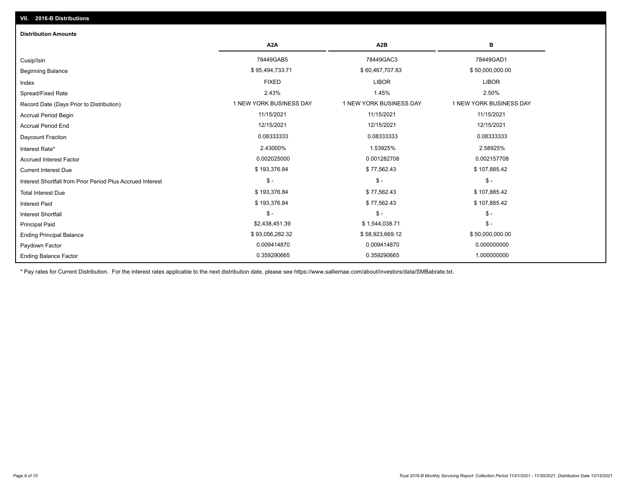# Ending Principal Balance \$ 58,000,000.00 \$ 93,056,282.32 \$ \$58,923,669.12 \$ 58,923,669.12 Principal Paid \$2,438,451.39 \$ 1,544,038.71 \$ - \$ - \$ - \$ - Interest Shortfall \$ 193,376.84 \$ 77,562.43 \$ 107,885.42 Interest Paid Total Interest Due \$ 193,376.84 \$ 77,562.43 \$ 107,885.42 \$ - \$ - \$ - Interest Shortfall from Prior Period Plus Accrued Interest Current Interest Due \$ 193,376.84 \$ 77,562.43 \$ 107,885.42 Accrued Interest Factor 0.002025000 0.001282708 0.002157708 Interest Rate\* 2.43000% 1.53925% 2.58925% Daycount Fraction 0.08333333 0.08333333 0.08333333 Accrual Period End 12/15/2021 12/15/2021 12/15/2021 Accrual Period Begin 11/15/2021 11/15/2021 11/15/2021 Record Date (Days Prior to Distribution) **1 NEW YORK BUSINESS DAY** 1 NEW YORK BUSINESS DAY 1 NEW YORK BUSINESS DAY Spread/Fixed Rate 2.43% 1.45% 2.50% Index FIXED LIBOR LIBOR Beginning Balance \$ 95,090,000.00 \$ 95,494,733.71 \$ \$ 60,467,707.83 \$ \$ 50,000,000.00 \$ \$ 50,000,000.00 \$ \$ 50,000,000 Cusip/Isin 78449GAB5 78449GAC3 78449GAD1 **A2A A2B B Distribution Amounts VII. 2016-B Distributions**

\* Pay rates for Current Distribution. For the interest rates applicable to the next distribution date, please see https://www.salliemae.com/about/investors/data/SMBabrate.txt.

Paydown Factor 0.009414870 0.009414870 0.000000000

0.359290665 0.359290665 1.000000000

Ending Balance Factor